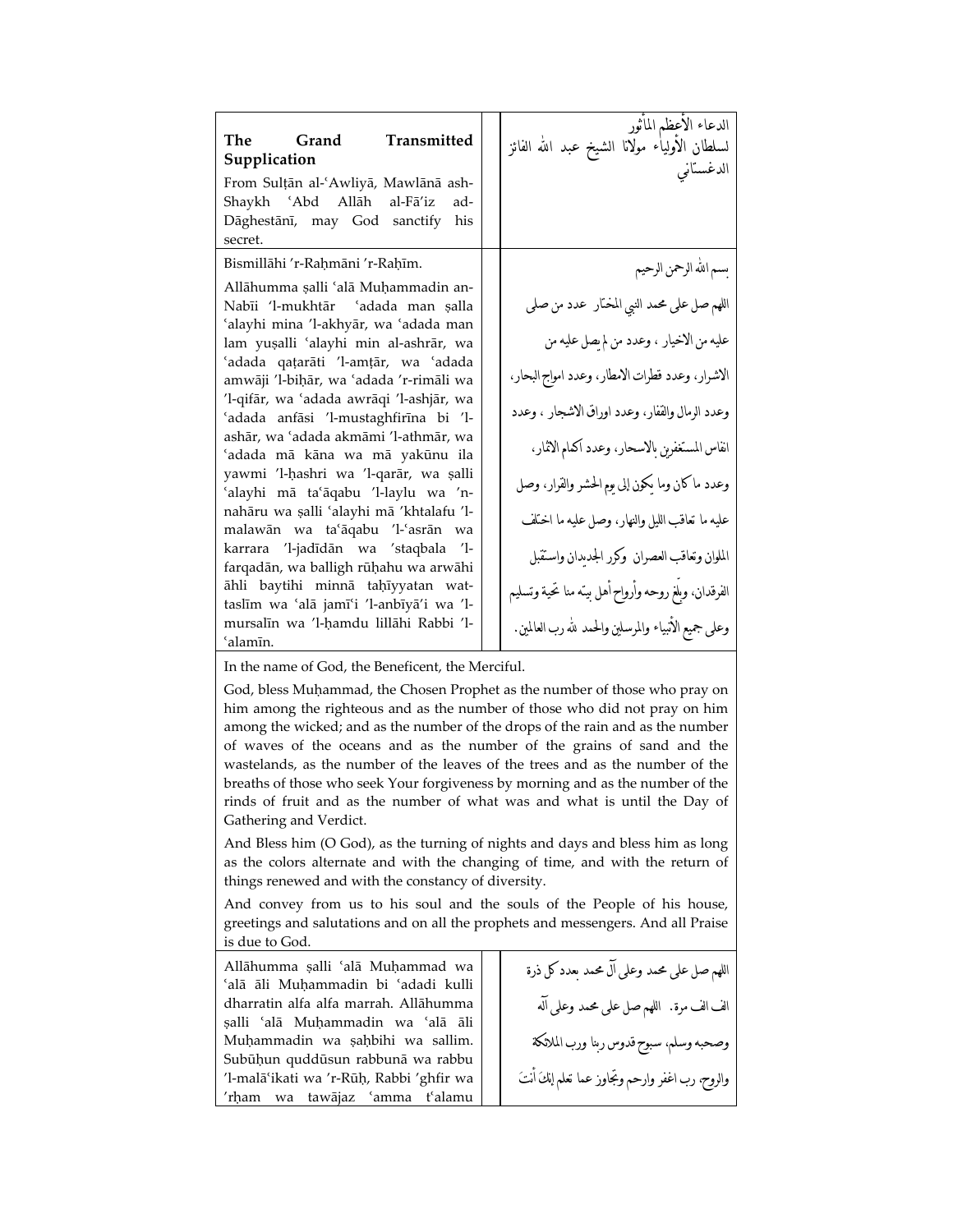| The Grand Transmitted<br>Supplication<br>From Sulțān al-'Awliyā, Mawlānā ash-<br>Shaykh 'Abd Allāh al-Fā'iz<br>ad-<br>Dāghestānī, may God sanctify<br>his<br>secret.                                                                                                                                                                                                                                                                                                                                                                                                                                                                                                                             | الدعاء الاعظم الماتور<br>لسلطان الأولياء مولانا الشيخ عبد الله الفائز<br>                                                                                                                                                                                                                                                                                                                                                    |
|--------------------------------------------------------------------------------------------------------------------------------------------------------------------------------------------------------------------------------------------------------------------------------------------------------------------------------------------------------------------------------------------------------------------------------------------------------------------------------------------------------------------------------------------------------------------------------------------------------------------------------------------------------------------------------------------------|------------------------------------------------------------------------------------------------------------------------------------------------------------------------------------------------------------------------------------------------------------------------------------------------------------------------------------------------------------------------------------------------------------------------------|
| Bismillāhi 'r-Raḥmāni 'r-Raḥīm.<br>Allāhumma ṣalli ʿalā Muḥammadin an-<br>Nabīi 'l-mukhtār 'adada man şalla<br>'alayhi mina 'l-akhyār, wa 'adada man<br>lam yuşalli 'alayhi min al-ashrār, wa<br>ʻadada qatarāti 'l-amṭār, wa ʻadada<br>amwāji ′l-biḥār, wa ʿadada ′r-rimāli wa<br>'l-qifār, wa 'adada awrāqi 'l-ashjār, wa<br>'adada anfāsi 'l-mustaghfirīna bi 'l-<br>ashār, wa 'adada akmāmi 'l-athmār, wa<br>ʻadada mā kāna wa mā yakūnu ila<br>yawmi 'l-ḥashri wa 'l-qarār, wa ṣalli<br>'alayhi mā ta'āqabu 'l-laylu wa 'n-<br>nahāru wa ṣalli 'alayhi mā 'khtalafu 'l-<br>malawān wa taʿāqabu 'l-ʿasrān wa<br>karrara 'l-jadīdān wa 'staqbala 'l-<br>farqadān, wa balligh rūḥahu wa arwāhi | بسم الله الرحمن الرحيم<br>اللهم صل على محمد النبي المختار  عدد من صلى<br>عليه من الاخيار ، وعدد من لم يصل عليه من<br>الاشرار، وعدد قطرات الامطار، وعدد امواج البحار،<br>وعدد الرمال والقفار، وعدد اوراق الاشجار ، وعدد<br>انفاس المستغفرين بالاسحار، وعدد أكمام الاثمار،<br>وعدد ماكان وما يكون إلى يوم الحشر والقرار، وصل<br>عليه ما تعاقب الليل والنهار، وصل عليه ما اختلف<br>الملوان وتعاقب العصران وكرر الجديدان واستقبل |
| āhli baytihi minnā taḥīyyatan wat-<br>taslīm wa 'alā jamī'i 'l-anbīyā'i wa 'l-<br>mursalīn wa 'l-ḥamdu lillāhi Rabbi 'l-<br>'alamīn.                                                                                                                                                                                                                                                                                                                                                                                                                                                                                                                                                             | الفرقدان، وبلغ روحه وأرواح أهل بينه منا تحية وتسليم<br>وعلى جميع الانبياء والمرسلين والحمد لله رب العالمين.                                                                                                                                                                                                                                                                                                                  |

In the name of God, the Beneficent, the Merciful.

God, bless Muhammad, the Chosen Prophet as the number of those who pray on him among the righteous and as the number of those who did not pray on him among the wicked; and as the number of the drops of the rain and as the number of waves of the oceans and as the number of the grains of sand and the wastelands, as the number of the leaves of the trees and as the number of the breaths of those who seek Your forgiveness by morning and as the number of the rinds of fruit and as the number of what was and what is until the Day of Gathering and Verdict.

And Bless him (O God), as the turning of nights and days and bless him as long as the colors alternate and with the changing of time, and with the return of things renewed and with the constancy of diversity.

And convey from us to his soul and the souls of the People of his house, greetings and salutations and on all the prophets and messengers. And all Praise is due to God.

Allāhumma salli 'alā Muhammad wa ¿alā āli Muħammadin bi ¿adadi kulli dharratin alfa alfa marrah. Allāhumma šalli ¿alā Muħammadin wa ¿alā āli Muḥammadin wa șaḥbihi wa sallim. Subūḥun quddūsun rabbunā wa rabbu 'l-malā'ikati wa 'r-Rūḥ, Rabbi 'ghfir wa 'rḥam wa tawājaz 'amma t'alamu

اللهم صل على محمد وعلى آل محمد بعدد كل ذرة الف الف مرة. اللهم صل على محمد وعلى آله وصحبه وسلم، سبوح قدوس ربنا ورب الملائكة والروح، رب اغفر وارحم وتجاوز عما تعلم إنكَ أنتَ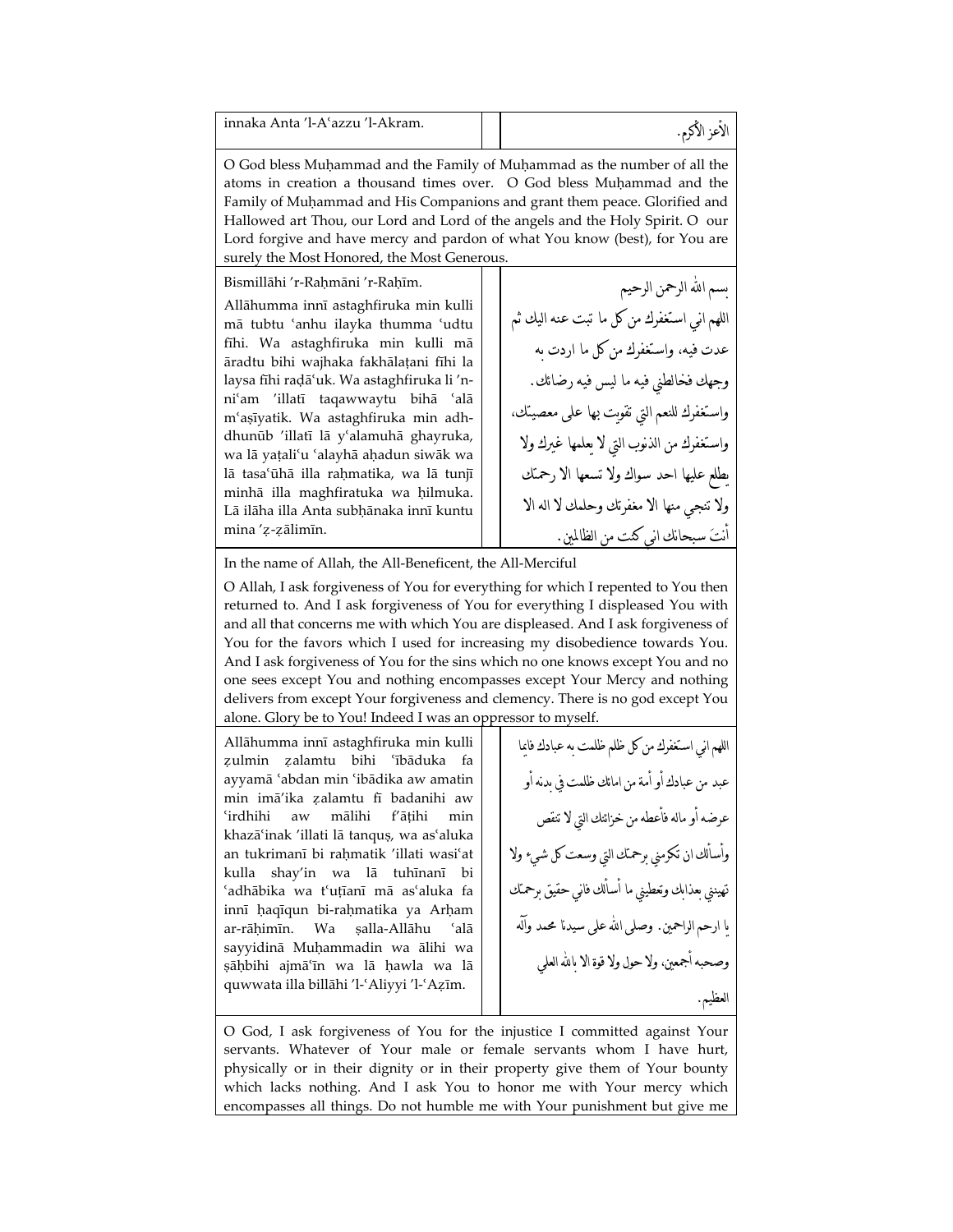| innaka Anta 'l-A'azzu 'l-Akram. |  |  |
|---------------------------------|--|--|
|---------------------------------|--|--|

O God bless Muħammad and the Family of Muħammad as the number of all the atoms in creation a thousand times over. O God bless Muhammad and the Family of Muħammad and His Companions and grant them peace. Glorified and Hallowed art Thou, our Lord and Lord of the angels and the Holy Spirit. O our Lord forgive and have mercy and pardon of what You know (best), for You are surely the Most Honored, the Most Generous

Bismillāhi 'r-Raḥmāni 'r-Raḥīm.

Allāhumma innī astaghfiruka min kulli mā tubtu 'anhu ilayka thumma 'udtu fīhi. Wa astaghfiruka min kulli mā āradtu bihi wajhaka fakhālaţani fīhi la laysa fīhi radā'uk. Wa astaghfiruka li 'nni'am 'illatī taqawwaytu bihā 'alā m¿ašīyatik. Wa astaghfiruka min adhdhunūb 'illatī lā y'alamuhā ghayruka, wa lā yaţali¿u ¿alayhā aħadun siwāk wa lā tasa'ūhā illa rahmatika, wa lā tunjī minhā illa maghfiratuka wa ħilmuka. Lā ilāha illa Anta subhānaka innī kuntu mina 'z-zālimīn.

بسم اهلل الرحمن الرحيم اللهم اهللي استغفرك من كل ما تبت عنه اليك ثم عدت فيه، واستغفرك من كل ما اردت به وجهك فخالطني فيه ما ليس فيه رضائك. واستغفرك للنعم التي تقويت بها على معصيتك، واستغفرك من الذهللوب التي لا يعلمها غيرك ولا يطلع عليها احد سواك ولا تسعها الا رحمتك ولا تنجي منها الا مغفرتك وحلمك لا اله الا أهللتَ سبحاهللك اهللي كنت من الظالمين.

In the name of Allah, the All-Beneficent, the All-Merciful

O Allah, I ask forgiveness of You for everything for which I repented to You then returned to. And I ask forgiveness of You for everything I displeased You with and all that concerns me with which You are displeased. And I ask forgiveness of You for the favors which I used for increasing my disobedience towards You. And I ask forgiveness of You for the sins which no one knows except You and no one sees except You and nothing encompasses except Your Mercy and nothing delivers from except Your forgiveness and clemency. There is no god except You alone. Glory be to You! Indeed I was an oppressor to myself

Allāhumma innī astaghfiruka min kulli zulmin zalamtu bihi 'ībāduka fa ayyamā 'abdan min 'ibādika aw amatin min imā'ika zalamtu fī badanihi aw ¿irdhihi aw mālihi f'āţihi min khazā'inak 'illati lā tanquş, wa as'aluka an tukrimanī bi rahmatik 'illati wasi'at kulla shay'in wa lā tuhīnanī bi 'adhābika wa t'uțīanī mā as'aluka fa innī ħaqīqun bi-raħmatika ya Arħam ar-rāhimīn. Wa salla-Allāhu 'alā sayyidinā Muħammadin wa ālihi wa šāħbihi ajmā¿īn wa lā ħawla wa lā quwwata illa billāhi 'l-'Aliyyi 'l-'Aẓīm.

اللهم اهللي استغفرك من كل ظلم ظلمت به عبادك فايما عبد من عبادك أو أمة من امائك ظلمت في بدهلله أو عرضه أو ماله فأعطه من خزائنك التي لا تنقص وأسألك ان تكرمني برحمتك التي وسعت كل شيء ولا تهينني بعذابك وتعطيني ما أسألك فاهللي حقيق برحمتك يا ارحم الراحمين. وصلى اهلل على سيدهللا محمد وآله وصحبه أجمعين، ولا حول ولا قوة الا باهلل العلي العظيم.

O God, I ask forgiveness of You for the injustice I committed against Your servants. Whatever of Your male or female servants whom I have hurt, physically or in their dignity or in their property give them of Your bounty which lacks nothing. And I ask You to honor me with Your mercy which encompasses all things. Do not humble me with Your punishment but give me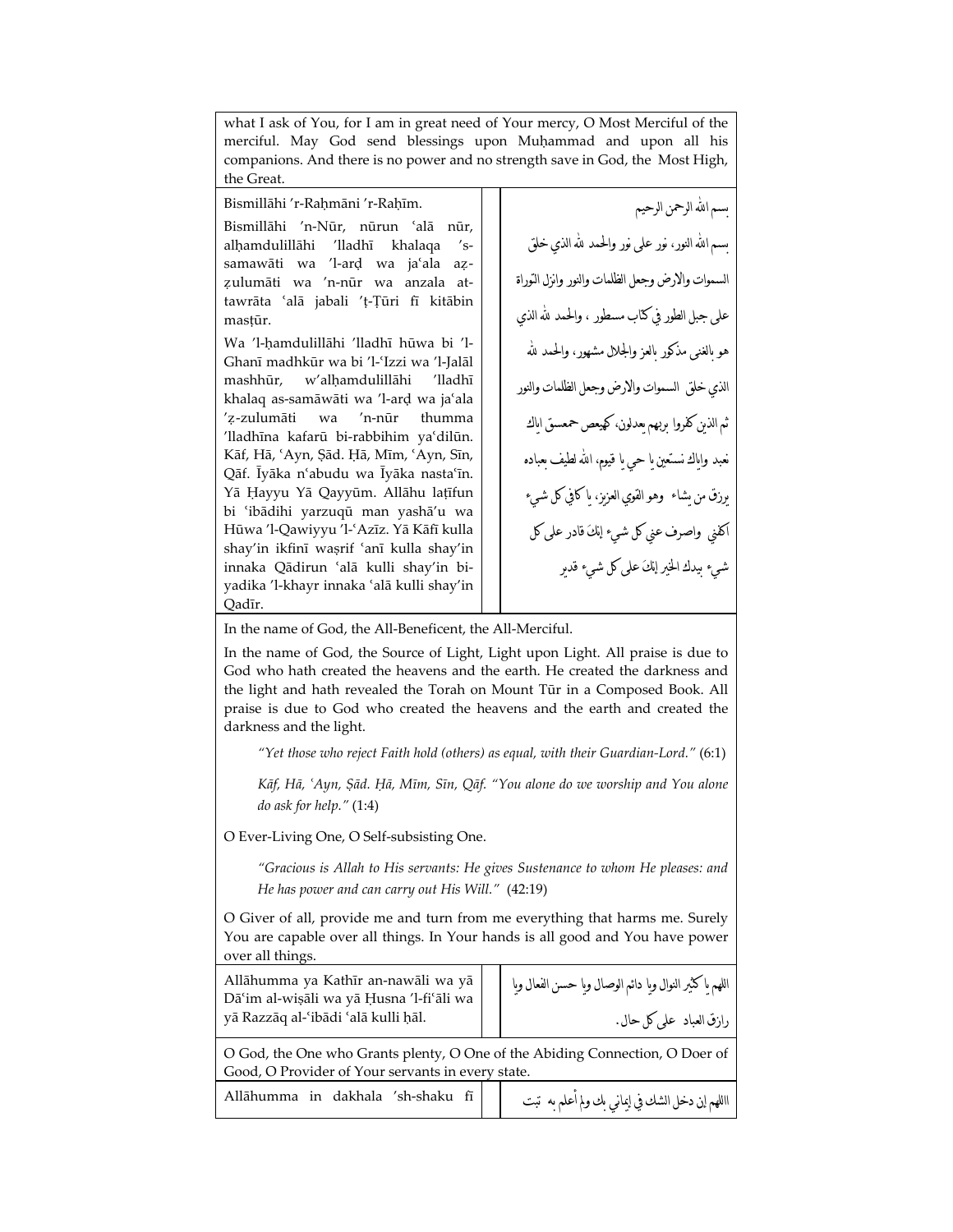what I ask of You, for I am in great need of Your mercy, O Most Merciful of the merciful. May God send blessings upon Muḥammad and upon all his companions. And there is no power and no strength save in God, the Most High, the Great.

Bismillāhi 'r-Raḥmāni 'r-Raḥīm.

Bismillāhi 'n-Nūr, nūrun 'alā nūr, alhamdulillāhi 'lladhī khalaqa 'ssamawāti wa 'l-ard wa ja'ala az-Ƹulumāti wa 'n-nūr wa anzala attawrāta ¿alā jabali 'ţ-Ţūri fī kitābin mastūr.

Wa 'l-ħamdulillāhi 'lladhī hūwa bi 'l-Ghanī madhkūr wa bi 'l-'Izzi wa 'l-Jalāl mashhūr, w'alhamdulillāhi 'lladhī khalaq as-samāwāti wa 'l-ard wa ja'ala 'Ƹ-zulumāti wa 'n-nūr thumma 'lladhīna kafarū bi-rabbihim ya'dilūn. Kāf, Hā, 'Ayn, Ṣād. Ḥā, Mīm, 'Ayn, Sīn, Qāf. Īyāka n'abudu wa Īyāka nasta'īn. Yā Ħayyu Yā Qayyūm. Allāhu laţīfun bi ¿ibādihi yarzuqū man yashā'u wa Hūwa 'l-Qawiyyu 'l-'Azīz. Yā Kāfī kulla shay'in ikfinī waşrif 'anī kulla shay'in innaka Qādirun ¿alā kulli shay'in biyadika 'l-khayr innaka 'alā kulli shay'in Qadīr.

سم الله الرحمن الرحيم سم الله النور، نور على نور والحمد لله الذي خلق السموات والارض وجعل الظلمات والنور وانزل التوراة على جبل الطور في كتاب مسطور ، والحمد هلل الذي هو بالغنى مذكور بالعز والجلال مشهور، والحمد هلل الذي خلق السموات والارض وجعل الظلمات والنور ثم الذين كفروا بربهم يعدلون، كهيعص حمعسق اياك نعبد واىاك نستعين ما حي ما قيوم، الله لطيف معباده يرزق من يشاء وهو القوي العزيز، يا كافي كل شيء اكفني واصرف عني كل شيء إهللكَ قادر على كل شيء بيدك الخير إهللكَ على كل شيء قدير

In the name of God, the All-Beneficent, the All-Merciful.

In the name of God, the Source of Light, Light upon Light. All praise is due to God who hath created the heavens and the earth. He created the darkness and the light and hath revealed the Torah on Mount Tūr in a Composed Book. All praise is due to God who created the heavens and the earth and created the darkness and the light.

*"Yet those who reject Faith hold (others) as equal, with their Guardian-Lord."* (6:1)

*Kāf, Hā, ¿Ayn, Šād. Ħā, Mīm, Sīn, Qāf. "You alone do we worship and You alone do ask for help."* (1:4)

O Ever-Living One, O Self-subsisting One.

*"Gracious is Allah to His servants: He gives Sustenance to whom He pleases: and He has power and can carry out His Will."* (42:19)

O Giver of all, provide me and turn from me everything that harms me. Surely You are capable over all things. In Your hands is all good and You have power over all things.

| Allāhumma ya Kathīr an-nawāli wa yā<br>Dāʿim al-wiṣāli wa yā Ḥusna 'l-fiʿāli wa<br>yā Razzāq al-ʿibādi ʿalā kulli ḥāl.            | اللهم ياكثير النوال ويا دائم الوصال ويا حسن الفعال ويا<br>رازق العباد على كل حال. |
|-----------------------------------------------------------------------------------------------------------------------------------|-----------------------------------------------------------------------------------|
| O God, the One who Grants plenty, O One of the Abiding Connection, O Doer of<br>Good, O Provider of Your servants in every state. |                                                                                   |
| Allāhumma in dakhala 'sh-shaku fī                                                                                                 | االلهم إن دخل الشك في إيماني بك ولم أعلم به  تبت                                  |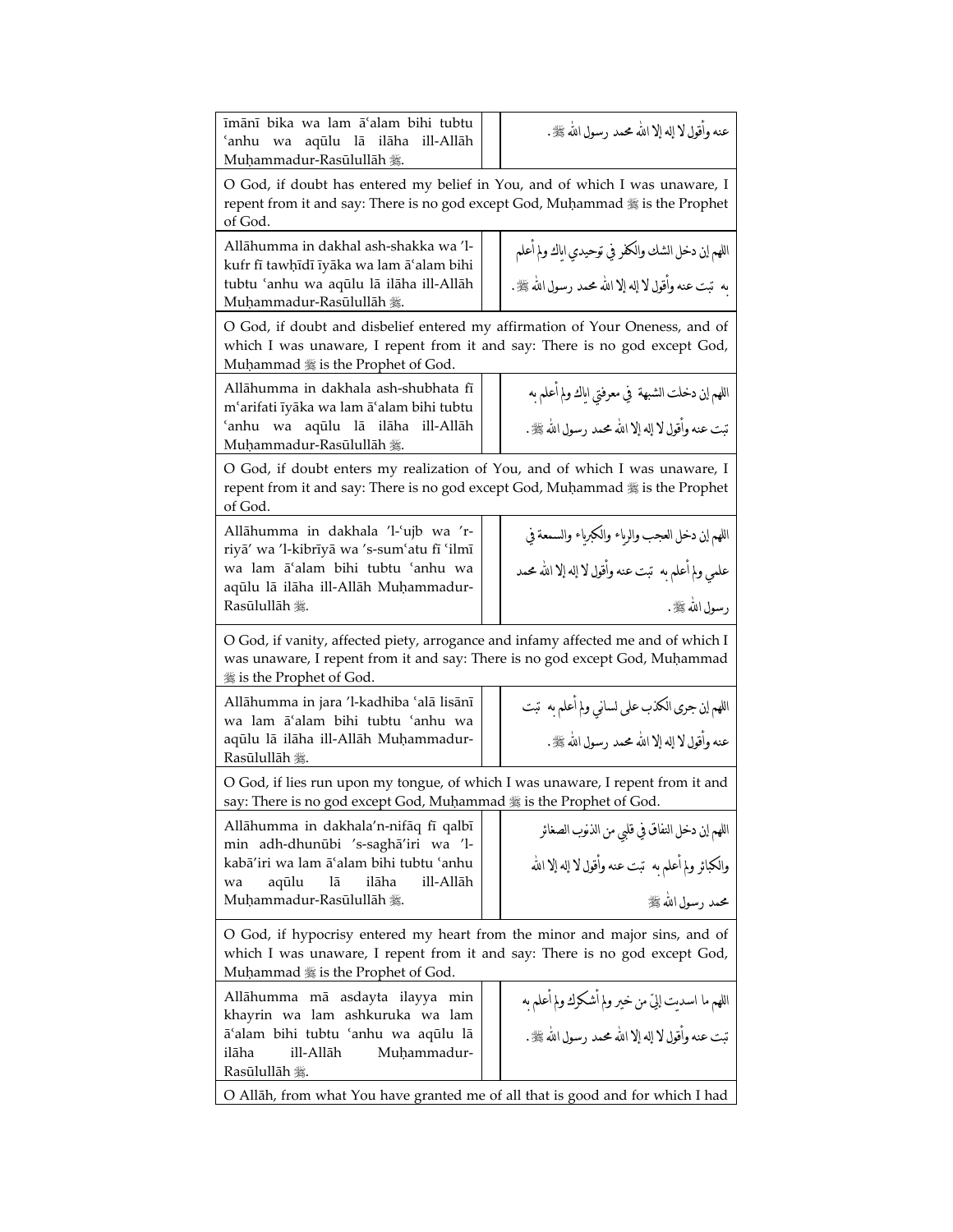| īmānī bika wa lam ā'alam bihi tubtu<br>aqūlu lā ilāha<br>ill-Allāh<br>ʻanhu<br>wa<br>Muḥammadur-Rasūlullāh 爨.                                                                                   | عنه وأقول لا إله إلا الله محمد رسول الله ﷺ.                                                                               |  |
|-------------------------------------------------------------------------------------------------------------------------------------------------------------------------------------------------|---------------------------------------------------------------------------------------------------------------------------|--|
| O God, if doubt has entered my belief in You, and of which I was unaware, I<br>repent from it and say: There is no god except God, Muhammad # is the Prophet<br>of God.                         |                                                                                                                           |  |
| Allāhumma in dakhal ash-shakka wa 'l-<br>kufr fī tawhīdī īyāka wa lam ā'alam bihi<br>tubtu 'anhu wa aqūlu lā ilāha ill-Allāh<br>Muhammadur-Rasūlullāh 囊.                                        | اللهم إن دخل الشك والكفر في توحيدي اياك ولم اعلم<br>به  تبت عنه وأقول لا إله إلا الله محمد رسول الله ﷺ.                   |  |
| O God, if doubt and disbelief entered my affirmation of Your Oneness, and of<br>which I was unaware, I repent from it and say: There is no god except God,<br>Muhammad # is the Prophet of God. |                                                                                                                           |  |
| Allāhumma in dakhala ash-shubhata fī<br>m'arifati īyāka wa lam ā'alam bihi tubtu<br>aqūlu lā ilāha<br>ʻanhu<br>wa<br>ill-Allāh<br>Muḥammadur-Rasūlullāh 爨.                                      | اللهم ان دخلت الشبهة  في معرفتي اياك ولم اعلم به<br>تبت عنه وأقول لا إله إلا الله محمد رسول الله ﷺ .                      |  |
| O God, if doubt enters my realization of You, and of which I was unaware, I<br>repent from it and say: There is no god except God, Muhammad : is the Prophet<br>of God.                         |                                                                                                                           |  |
| Allāhumma in dakhala 'l-'ujb wa 'r-<br>riyā' wa 'l-kibrīyā wa 's-sum'atu fī 'ilmī<br>wa lam ā'alam bihi tubtu 'anhu wa<br>aqūlu lā ilāha ill-Allāh Muhammadur-<br>Rasūlullāh 囊.                 | اللهم إن دخل العجب والرياء والكبرياء والسمعة في<br>علمي ولم أعلم به  تبت عنه وأقول لا إله إلا الله محمد<br>رسول الله ﷺ.   |  |
| O God, if vanity, affected piety, arrogance and infamy affected me and of which I<br>was unaware, I repent from it and say: There is no god except God, Muhammad<br>囊 is the Prophet of God.    |                                                                                                                           |  |
| Allāhumma in jara 'l-kadhiba 'alā lisānī<br>wa lam ā'alam bihi tubtu 'anhu wa<br>aqūlu lā ilāha ill-Allāh Muhammadur-<br>Rasūlullāh 囊.                                                          | اللهم إن جرى الكذب على لساني ولم أعلم به  تبت<br>عنه وأقول لا إله إلا الله محمد رسول الله ﷺ.                              |  |
| O God, if lies run upon my tongue, of which I was unaware, I repent from it and<br>say: There is no god except God, Muhammad # is the Prophet of God.                                           |                                                                                                                           |  |
| Allāhumma in dakhala'n-nifāq fī qalbī<br>min adh-dhunūbi 's-saghā'iri wa 'l-<br>kabā'iri wa lam āʿalam bihi tubtu ʿanhu<br>ilāha<br>ill-Allāh<br>aqūlu<br>lā<br>wa<br>Muḥammadur-Rasūlullāh 斃.  | اللهم ابن دخل النفاق في قلبي من الذنوب الصغائر<br>والكبائر ولم أعلم به  تبت عنه وأقول لا إله إلا الله<br>محمد رسول الله ﷺ |  |
| O God, if hypocrisy entered my heart from the minor and major sins, and of<br>which I was unaware, I repent from it and say: There is no god except God,<br>Muhammad # is the Prophet of God.   |                                                                                                                           |  |
| Allāhumma mā asdayta ilayya min<br>khayrin wa lam ashkuruka wa lam<br>ā'alam bihi tubtu 'anhu wa aqūlu lā<br>ilāha<br>ill-Allāh<br>Muhammadur-<br>Rasūlullāh 囊.                                 | اللهم ما اسديت إليّ من خير ولم أشكرك ولم أعلم به<br>تبت عنه وأقول لا إله إلا الله محمد رسول الله ﷺ.                       |  |
| O Allāh, from what You have granted me of all that is good and for which I had                                                                                                                  |                                                                                                                           |  |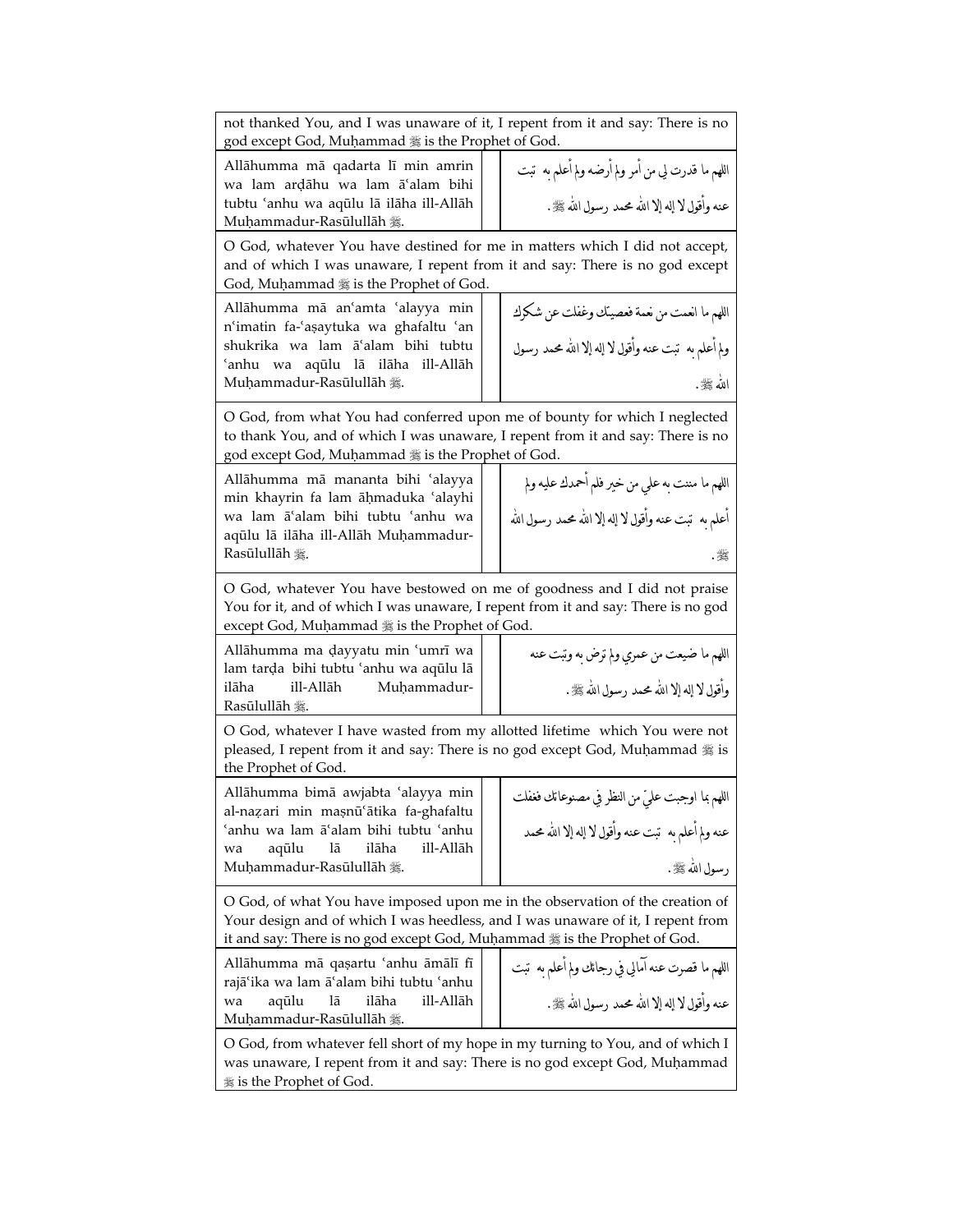| not thanked You, and I was unaware of it, I repent from it and say: There is no<br>god except God, Muhammad # is the Prophet of God.                                                                                                          |                                                       |  |
|-----------------------------------------------------------------------------------------------------------------------------------------------------------------------------------------------------------------------------------------------|-------------------------------------------------------|--|
| Allāhumma mā qadarta lī min amrin<br>wa lam ardāhu wa lam ā'alam bihi                                                                                                                                                                         | اللهم ما قدرت لي من أمر ولم أرضه ولم أعلم به  تبت     |  |
| tubtu 'anhu wa aqūlu lā ilāha ill-Allāh<br>Muḥammadur-Rasūlullāh 攤.                                                                                                                                                                           | عنه وأقول لا إله إلا الله محمد رسول الله ﷺ.           |  |
| O God, whatever You have destined for me in matters which I did not accept,<br>and of which I was unaware, I repent from it and say: There is no god except<br>God, Muhammad # is the Prophet of God.                                         |                                                       |  |
| Allāhumma mā an'amta 'alayya min<br>n'imatin fa-'asaytuka wa ghafaltu 'an                                                                                                                                                                     | اللهم ما انعمت من نعمة فعصيتك وغفلت عن شكرك           |  |
| shukrika wa lam ā'alam bihi tubtu<br>'anhu wa aqulu lā ilāha ill-Allāh                                                                                                                                                                        | ولم أعلم به  تبت عنه وأقول لا إله إلا الله محمد رسول  |  |
| Muhammadur-Rasūlullāh 攤.                                                                                                                                                                                                                      | الله ﷺ.                                               |  |
| O God, from what You had conferred upon me of bounty for which I neglected<br>to thank You, and of which I was unaware, I repent from it and say: There is no<br>god except God, Muḥammad # is the Prophet of God.                            |                                                       |  |
| Allāhumma mā mananta bihi 'alayya<br>min khayrin fa lam āḥmaduka 'alayhi                                                                                                                                                                      | اللهم ما مننت به علي من خير فلم أحمدك عليه ولم        |  |
| wa lam ā'alam bihi tubtu 'anhu wa<br>aqūlu lā ilāha ill-Allāh Muhammadur-                                                                                                                                                                     | أعلم به  تبت عنه وأقول لا إله إلا الله محمد رسول الله |  |
| Rasūlullāh 囊.                                                                                                                                                                                                                                 | ⊯.                                                    |  |
| O God, whatever You have bestowed on me of goodness and I did not praise<br>You for it, and of which I was unaware, I repent from it and say: There is no god<br>except God, Muhammad # is the Prophet of God.                                |                                                       |  |
| Allāhumma ma dayyatu min 'umrī wa<br>lam tarda bihi tubtu 'anhu wa aqulu lā                                                                                                                                                                   | اللهم ما ضيعت من عمري ولم ترض به وتبت عنه             |  |
| ill-Allāh<br>Muḥammadur-<br>ilāha<br>Rasūlullāh 囊.                                                                                                                                                                                            | وأقول لا إله إلا الله محمد رسول الله ﷺ .              |  |
| O God, whatever I have wasted from my allotted lifetime which You were not<br>pleased, I repent from it and say: There is no god except God, Muhammad : is<br>the Prophet of God.                                                             |                                                       |  |
| Allāhumma bimā awjabta 'alayya min<br>al-nazari min masnū'ātika fa-ghafaltu                                                                                                                                                                   | اللهم بما اوجبت عليّ من النظر في مصنوعاتك فغفلت       |  |
| 'anhu wa lam ā'alam bihi tubtu 'anhu<br>ilāha<br>ill-Allāh<br>aqūlu<br>lā<br>wa                                                                                                                                                               | عنه ولم أعلم به  تبت عنه وأقول لا إله إلا الله محمد   |  |
| Muḥammadur-Rasūlullāh 攤.                                                                                                                                                                                                                      | رسول الله ﷺ .                                         |  |
| O God, of what You have imposed upon me in the observation of the creation of<br>Your design and of which I was heedless, and I was unaware of it, I repent from<br>it and say: There is no god except God, Muḥammad # is the Prophet of God. |                                                       |  |
| Allāhumma mā qaṣartu 'anhu āmālī fī<br>rajā'ika wa lam ā'alam bihi tubtu 'anhu                                                                                                                                                                | اللهم ما قصرت عنه آمالي في رجائك ولم أعلم به  تبت     |  |
| ilāha<br>ill-Allāh<br>aqūlu<br>lā<br>wa<br>Muḥammadur-Rasūlullāh 攤.                                                                                                                                                                           | عنه وأقول لا إله إلا الله محمد رسول الله ﷺ.           |  |
| O God, from whatever fell short of my hope in my turning to You, and of which I<br>was unaware, I repent from it and say: There is no god except God, Muhammad<br>囊 is the Prophet of God.                                                    |                                                       |  |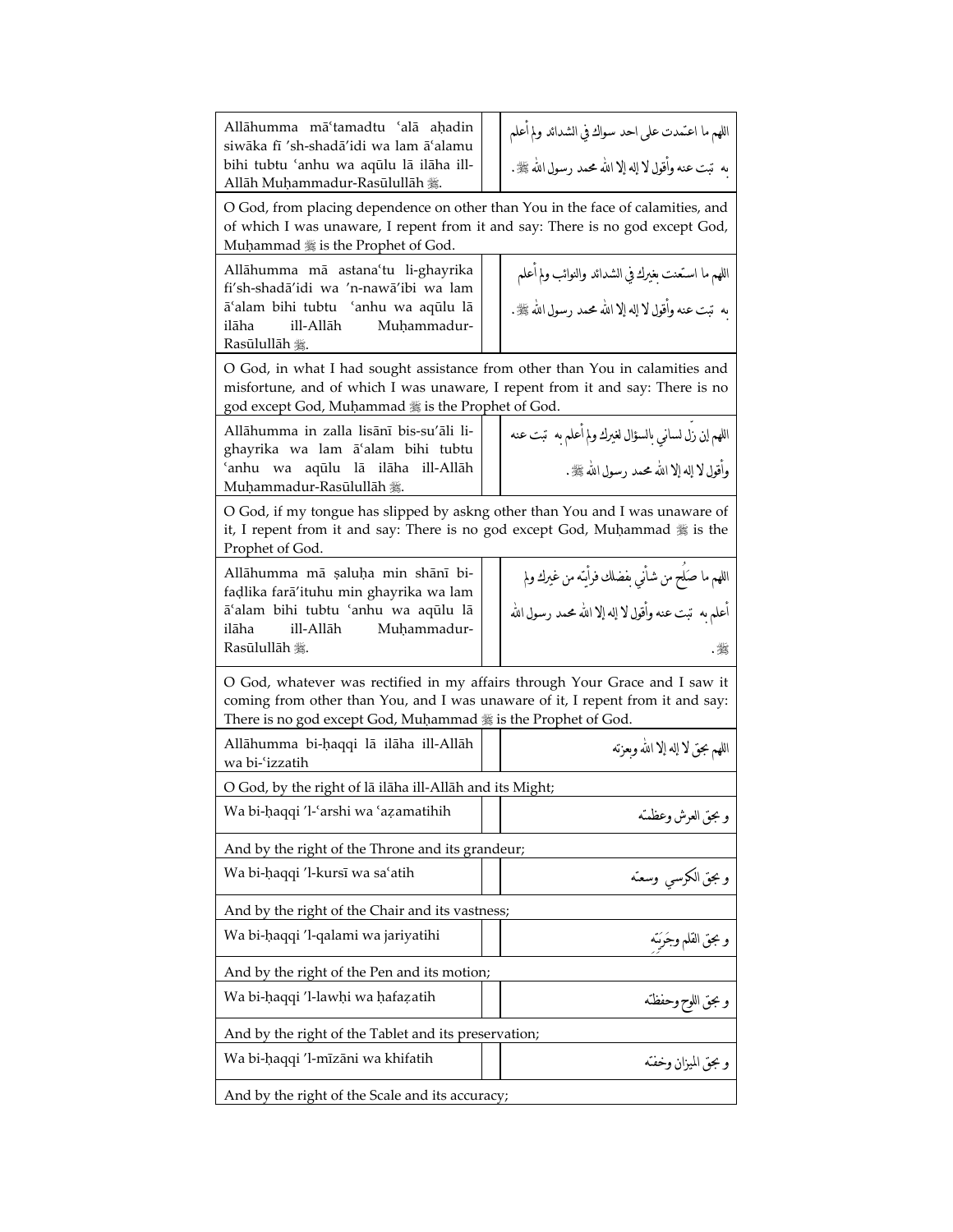| Allāhumma mā'tamadtu 'alā aḥadin<br>siwāka fī 'sh-shadā'idi wa lam ā'alamu<br>bihi tubtu 'anhu wa aqulu lā ilāha ill-<br>Allāh Muḥammadur-Rasūlullāh 難.                                                                        | اللهم ما اعتمدت على احد سواك في الشدائد ولم أعلم<br>ىه  تبت عنه وأقول لا إله إلا الله محمد رسول الله ﷺ.          |  |
|--------------------------------------------------------------------------------------------------------------------------------------------------------------------------------------------------------------------------------|------------------------------------------------------------------------------------------------------------------|--|
| O God, from placing dependence on other than You in the face of calamities, and<br>of which I was unaware, I repent from it and say: There is no god except God,<br>Muhammad 5 is the Prophet of God.                          |                                                                                                                  |  |
| Allāhumma mā astana'tu li-ghayrika<br>fi'sh-shadā'idi wa 'n-nawā'ibi wa lam<br>ā'alam bihi tubtu 'anhu wa aqūlu lā<br>ilāha<br>ill-Allāh<br>Muḥammadur-<br>Rasūlullāh 囊.                                                       | اللهم ما استعنت بغيرك في الشدائد والنوائب ولم اعلم<br>به  تبت عنه وأقول لا إله إلا الله محمد رسول الله ﷺ.        |  |
| O God, in what I had sought assistance from other than You in calamities and<br>misfortune, and of which I was unaware, I repent from it and say: There is no<br>god except God, Muḥammad # is the Prophet of God.             |                                                                                                                  |  |
| Allāhumma in zalla lisānī bis-su'āli li-<br>ghayrika wa lam ā'alam bihi tubtu<br>ʿanhu wa aqūlu lā ilāha<br>ill-Allāh<br>Muhammadur-Rasūlullāh 爨.                                                                              | اللهم ان زل لساني بالسؤال لغيرك ولم أعلم به  تبت عنه<br>وأقول لا إله إلا الله محمد رسول الله ﷺ .                 |  |
| O God, if my tongue has slipped by askng other than You and I was unaware of<br>it, I repent from it and say: There is no god except God, Muhammad # is the<br>Prophet of God.                                                 |                                                                                                                  |  |
| Allāhumma mā saluha min shānī bi-<br>fadlika farā'ituhu min ghayrika wa lam<br>ā'alam bihi tubtu 'anhu wa aqūlu lā<br>ill-Allāh<br>Muḥammadur-<br>ilāha<br>Rasūlullāh 囊.                                                       | اللهم ما صَلح من شَاَني بفضلك فرأيَنه من غيرك ولم<br>أعلم به  تبت عنه وأقول لا إله إلا الله محمد رسول الله<br>괤. |  |
| O God, whatever was rectified in my affairs through Your Grace and I saw it<br>coming from other than You, and I was unaware of it, I repent from it and say:<br>There is no god except God, Muḥammad # is the Prophet of God. |                                                                                                                  |  |
| Allāhumma bi-haqqi lā ilāha ill-Allāh<br>wa bi-'izzatih                                                                                                                                                                        | اللهم بحق لا إله إلا الله وبعزته                                                                                 |  |
| O God, by the right of lā ilāha ill-Allāh and its Might;                                                                                                                                                                       |                                                                                                                  |  |
| Wa bi-haqqi 'l-'arshi wa 'azamatihih                                                                                                                                                                                           | و بحق العرش وعظمته                                                                                               |  |
| And by the right of the Throne and its grandeur;                                                                                                                                                                               |                                                                                                                  |  |
| Wa bi-haqqi 'l-kursī wa sa'atih                                                                                                                                                                                                | وبجق الكرسي وسعته                                                                                                |  |
| And by the right of the Chair and its vastness;                                                                                                                                                                                |                                                                                                                  |  |
| Wa bi-haqqi 'l-qalami wa jariyatihi                                                                                                                                                                                            | و بحق القلم وجَرَبَنه                                                                                            |  |
| And by the right of the Pen and its motion;                                                                                                                                                                                    |                                                                                                                  |  |
| Wa bi-haqqi 'l-lawhi wa hafazatih                                                                                                                                                                                              | و بحق اللوح وحفظته                                                                                               |  |
| And by the right of the Tablet and its preservation;                                                                                                                                                                           |                                                                                                                  |  |
| Wa bi-haqqi 'l-mīzāni wa khifatih                                                                                                                                                                                              | و بحق الميزان وخفته                                                                                              |  |
| And by the right of the Scale and its accuracy;                                                                                                                                                                                |                                                                                                                  |  |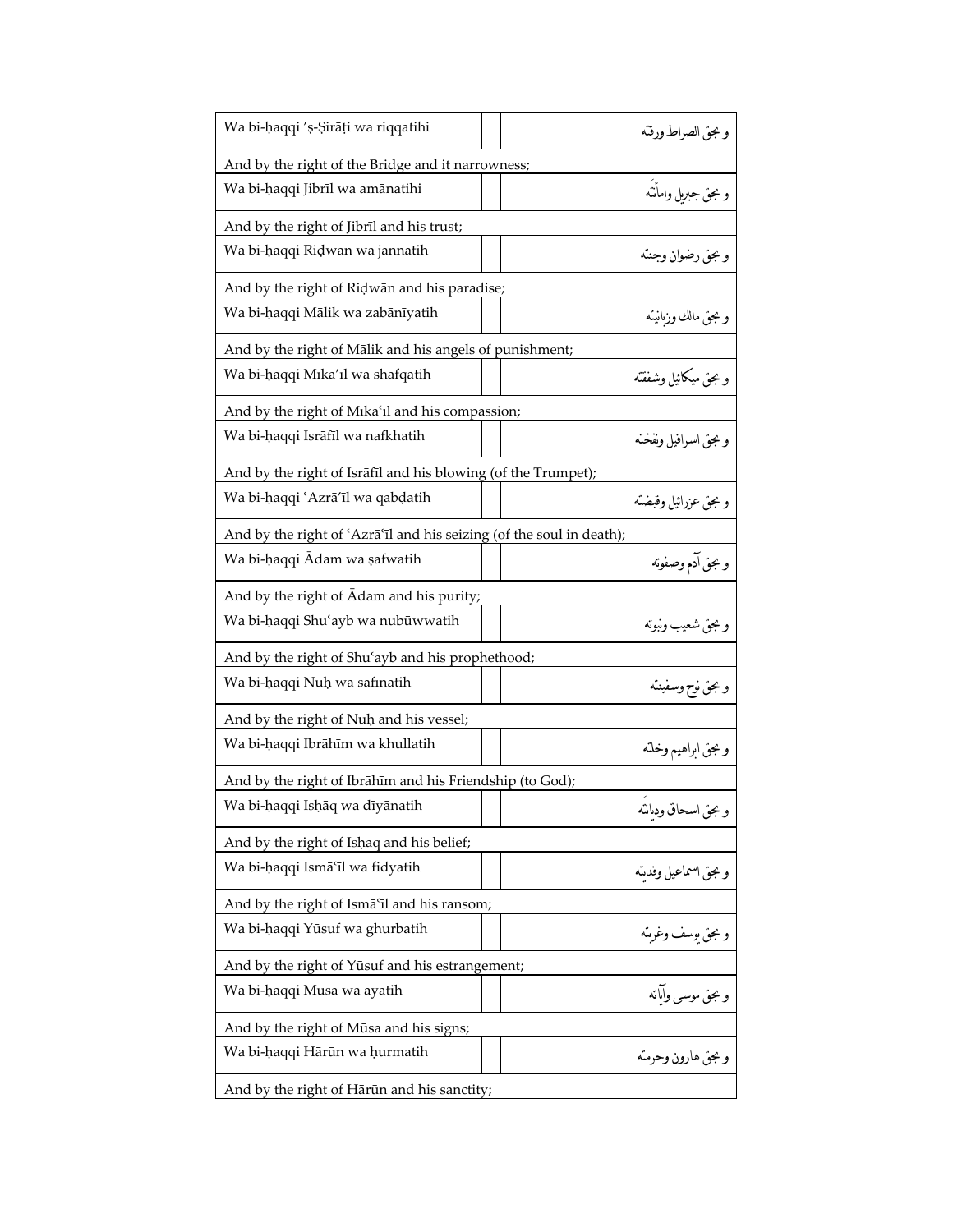| Wa bi-haqqi 's-Sirāti wa riqqatihi                                   | وبجق الصراط ورقته    |
|----------------------------------------------------------------------|----------------------|
| And by the right of the Bridge and it narrowness;                    |                      |
| Wa bi-haqqi Jibrīl wa amānatihi                                      | و بجق جبريل وامأنته  |
| And by the right of Jibril and his trust;                            |                      |
| Wa bi-haqqi Ridwān wa jannatih                                       | و بحق رضوان وجنته    |
| And by the right of Ridwān and his paradise;                         |                      |
| Wa bi-haqqi Mālik wa zabānīyatih                                     | و بحق مالك وزىانيته  |
| And by the right of Mālik and his angels of punishment;              |                      |
| Wa bi-haqqi Mīkā'īl wa shafqatih                                     | وبجق ميكائيل وشفقته  |
| And by the right of Mīkā'īl and his compassion;                      |                      |
| Wa bi-haqqi Isrāfīl wa nafkhatih                                     | و بحق اسرافیل ونفخته |
| And by the right of Israfil and his blowing (of the Trumpet);        |                      |
| Wa bi-haqqi 'Azrā'īl wa qabdatih                                     | وبجق عزرائيل وقبضته  |
| And by the right of 'Azrā'īl and his seizing (of the soul in death); |                      |
| Wa bi-haqqi Adam wa safwatih                                         | و بحق آدم وصفونه     |
| And by the right of Adam and his purity;                             |                      |
| Wa bi-haqqi Shu'ayb wa nubūwwatih                                    | و بحق شعيب ونبوته    |
| And by the right of Shu'ayb and his prophethood;                     |                      |
| Wa bi-haqqi Nūh wa safīnatih                                         | وبجق نوح وسفينته     |
| And by the right of Nūḥ and his vessel;                              |                      |
| Wa bi-haqqi Ibrāhīm wa khullatih                                     | وبجق ابراهيم وخلته   |
| And by the right of Ibrāhīm and his Friendship (to God);             |                      |
| Wa bi-haqqi Ishaq wa diyanatih                                       | وبجق اسحاق ودبانته   |
| And by the right of Ishaq and his belief;                            |                      |
| Wa bi-haqqi Ismā'īl wa fidyatih                                      | و بحق اسماعيل وفدسّه |
| And by the right of Isma <sup>'</sup> il and his ransom;             |                      |
| Wa bi-haqqi Yūsuf wa ghurbatih                                       | وبجق بوسف وغرىته     |
| And by the right of Yūsuf and his estrangement;                      |                      |
| Wa bi-haqqi Mūsā wa āyātih                                           | و بحق موسىي وآبانه   |
| And by the right of Mūsa and his signs;                              |                      |
| Wa bi-haqqi Hārūn wa hurmatih                                        | و بحق هارون وحرمته   |
| And by the right of Hārūn and his sanctity;                          |                      |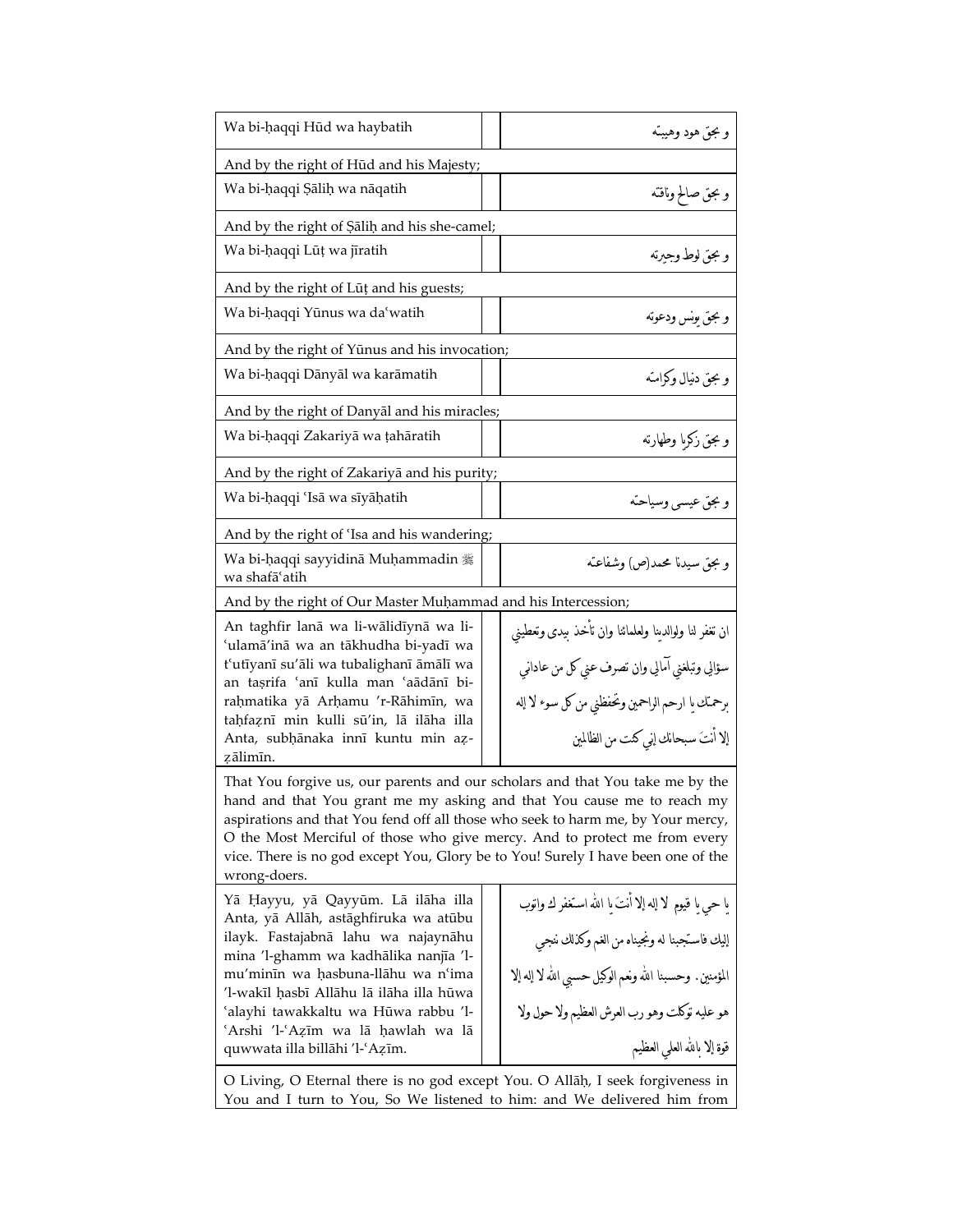| Wa bi-haqqi Hūd wa haybatih                                                                                                                                                                                                                                                                                                                                                                                                 | و بحق هود وهيبته                                                                                                                                           |  |
|-----------------------------------------------------------------------------------------------------------------------------------------------------------------------------------------------------------------------------------------------------------------------------------------------------------------------------------------------------------------------------------------------------------------------------|------------------------------------------------------------------------------------------------------------------------------------------------------------|--|
| And by the right of Hūd and his Majesty;                                                                                                                                                                                                                                                                                                                                                                                    |                                                                                                                                                            |  |
| Wa bi-haqqi Sālih wa nāqatih                                                                                                                                                                                                                                                                                                                                                                                                | و بحق صالح وناقته                                                                                                                                          |  |
| And by the right of Salih and his she-camel;                                                                                                                                                                                                                                                                                                                                                                                |                                                                                                                                                            |  |
| Wa bi-haqqi Lūț wa jīratih                                                                                                                                                                                                                                                                                                                                                                                                  | و بجق لوط وجبرته                                                                                                                                           |  |
| And by the right of Lūț and his guests;                                                                                                                                                                                                                                                                                                                                                                                     |                                                                                                                                                            |  |
| Wa bi-haqqi Yūnus wa da'watih                                                                                                                                                                                                                                                                                                                                                                                               | و مجق يونس ودعونه                                                                                                                                          |  |
| And by the right of Yūnus and his invocation;                                                                                                                                                                                                                                                                                                                                                                               |                                                                                                                                                            |  |
| Wa bi-haqqi Dānyāl wa karāmatih                                                                                                                                                                                                                                                                                                                                                                                             | و بحق دنیال وکرامته                                                                                                                                        |  |
| And by the right of Danyal and his miracles;                                                                                                                                                                                                                                                                                                                                                                                |                                                                                                                                                            |  |
| Wa bi-haqqi Zakariyā wa tahāratih                                                                                                                                                                                                                                                                                                                                                                                           | و بحق زكرىا وطهارته                                                                                                                                        |  |
| And by the right of Zakariya and his purity;                                                                                                                                                                                                                                                                                                                                                                                |                                                                                                                                                            |  |
| Wa bi-haqqi 'Isā wa sīyāhatih                                                                                                                                                                                                                                                                                                                                                                                               | وبجق عيسى وسياحته                                                                                                                                          |  |
| And by the right of 'Isa and his wandering;                                                                                                                                                                                                                                                                                                                                                                                 |                                                                                                                                                            |  |
| Wa bi-ḥaqqi sayyidinā Muḥammadin 攤<br>wa shafāʻatih                                                                                                                                                                                                                                                                                                                                                                         | وبجق سيدنا محمد(ص) وشفاعته                                                                                                                                 |  |
| And by the right of Our Master Muhammad and his Intercession;                                                                                                                                                                                                                                                                                                                                                               |                                                                                                                                                            |  |
| An taghfir lanā wa li-wālidīynā wa li-<br>'ulamā'inā wa an tākhudha bi-yadī wa<br>t'utīyanī su'āli wa tubalighanī āmālī wa<br>an taşrifa 'anī kulla man 'aādānī bi-<br>rahmatika yā Arhamu 'r-Rāhimīn, wa<br>tahfaznī min kulli sū'in, lā ilāha illa                                                                                                                                                                        | ان تغفر لنا ولوالدينا ولعلمائنا وان تأخذ بيدى وتعطيني<br>سؤالي وتبلغني آمالي وان تصرف عني كل من عاداني<br>برحمنك يا ارحم الراحمين وتحفظني من كل سوء لا إله |  |
| Anta, subhānaka innī kuntu min az-<br>zālimīn.                                                                                                                                                                                                                                                                                                                                                                              | إلا أنتَ سبحانك إني كنت من الظالمين                                                                                                                        |  |
| That You forgive us, our parents and our scholars and that You take me by the<br>hand and that You grant me my asking and that You cause me to reach my<br>aspirations and that You fend off all those who seek to harm me, by Your mercy,<br>O the Most Merciful of those who give mercy. And to protect me from every<br>vice. There is no god except You, Glory be to You! Surely I have been one of the<br>wrong-doers. |                                                                                                                                                            |  |
| Yā Ḥayyu, yā Qayyūm. Lā ilāha illa<br>Anta, yā Allāh, astāghfiruka wa atūbu                                                                                                                                                                                                                                                                                                                                                 | يا حي يا قيوم  لا إله إلا أنتَ يا الله استغفر ك واتوب                                                                                                      |  |
| ilayk. Fastajabnā lahu wa najaynāhu<br>mina 'l-ghamm wa kadhālika nanjīa 'l-                                                                                                                                                                                                                                                                                                                                                | إليك فاستجبنا له ونجيناه من الغم وكذلك ننجي                                                                                                                |  |
| mu'minīn wa hasbuna-llāhu wa n'ima<br>'l-wakīl hasbī Allāhu lā ilāha illa hūwa                                                                                                                                                                                                                                                                                                                                              | المؤمنين. وحسبنا الله ونعم الوكيل حسبي الله لا إله إلا                                                                                                     |  |
| 'alayhi tawakkaltu wa Hūwa rabbu 'l-<br>'Arshi 'l-'Azīm wa lā ḥawlah wa lā                                                                                                                                                                                                                                                                                                                                                  | هو عليه توكلت وهو رب العرش العظيم ولا حول ولا                                                                                                              |  |
| quwwata illa billāhi 'l-'Azīm.                                                                                                                                                                                                                                                                                                                                                                                              | قوة إلا بالله العلي العظيم                                                                                                                                 |  |
| O Living, O Eternal there is no god except You. O Allāh, I seek forgiveness in<br>You and I turn to You, So We listened to him: and We delivered him from                                                                                                                                                                                                                                                                   |                                                                                                                                                            |  |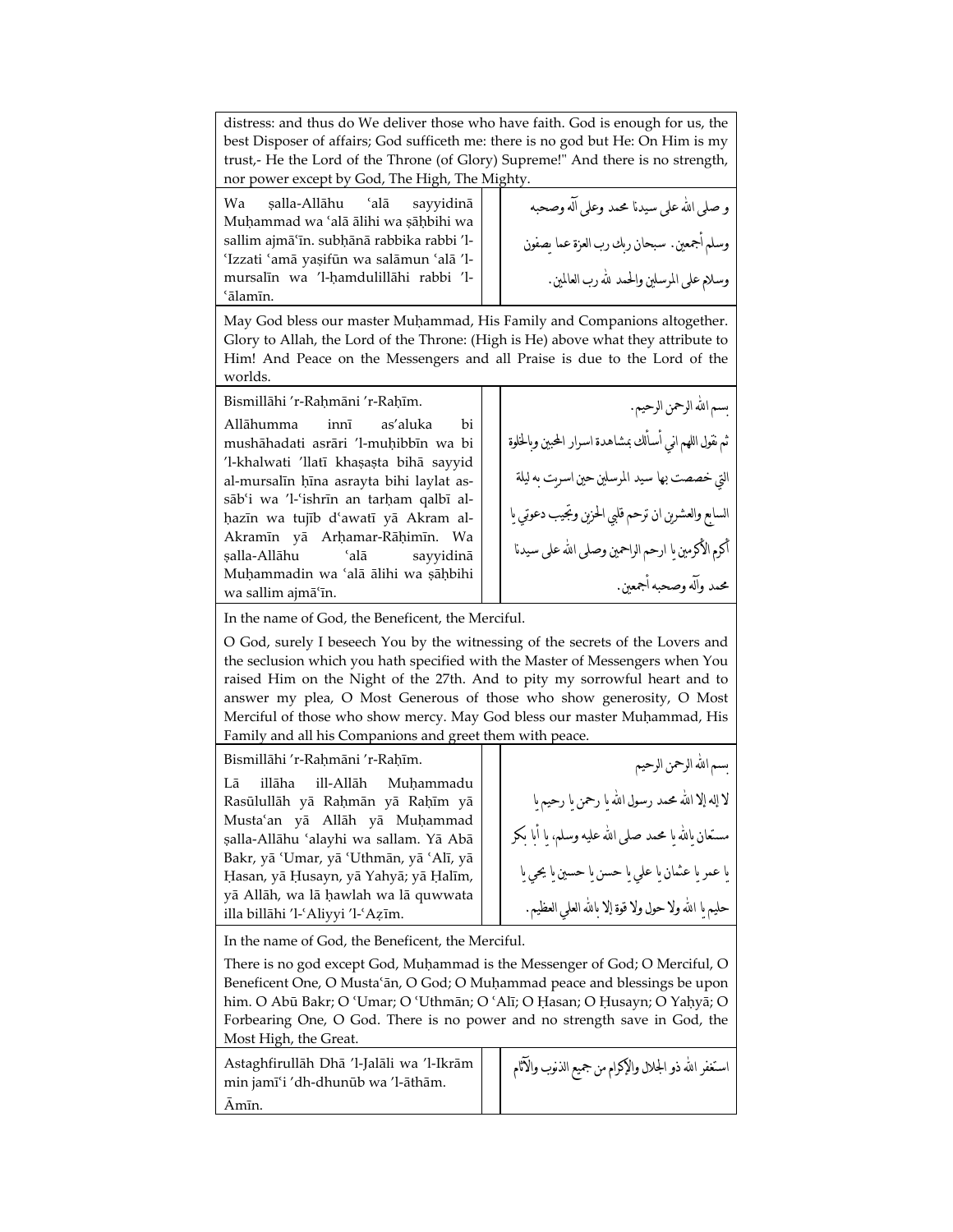distress: and thus do We deliver those who have faith. God is enough for us, the best Disposer of affairs; God sufficeth me: there is no god but He: On Him is my trust,- He the Lord of the Throne (of Glory) Supreme!" And there is no strength, nor power except by God, The High, The Mighty.

Wa șalla-Allāhu 'alā sayyidinā Muhammad wa 'alā ālihi wa sāhbihi wa sallim ajmā'īn. subhānā rabbika rabbi 'l-¿Izzati ¿amā yašifūn wa salāmun ¿alā 'lmursalīn wa 'l-ħamdulillāhi rabbi 'l- ¿ālamīn.

و صلى اهلل على سيدهللا محمد وعلى آله وصحبه وسلم أجمعين. سبحان ربك رب العزة عما يصفون وسلام على المرسلين والحمد هلل رب العالمين.

May God bless our master Muḥammad, His Family and Companions altogether. Glory to Allah, the Lord of the Throne: (High is He) above what they attribute to Him! And Peace on the Messengers and all Praise is due to the Lord of the worlds.

Bismillāhi 'r-Raḥmāni 'r-Raḥīm.

Allāhumma innī as'aluka bi mushāhadati asrāri 'l-muħibbīn wa bi 'l-khalwati 'llatī khașașta bihā sayyid al-mursalīn ħīna asrayta bihi laylat assāb'i wa 'l-'ishrīn an tarham qalbī alħazīn wa tujīb d¿awatī yā Akram al-Akramīn yā Arħamar-Rāħimīn. Wa šalla-Allāhu ¿alā sayyidinā Muhammadin wa 'alā ālihi wa şāḥbihi wa sallim ajmā¿īn.

بسم الله الرحمن الرحيم. ثم نقول اللهم اني أسألك بمشاهدة اسرار المحبين وبالخلوة التي خصصت بها سيد المرسلين حين اسريت به ليلة السابع والعشرين ان ترحم قلبي الحزين وتجيب دعوتي يا أكرم الأكرمين ىا ارحم الراحمين وصلى الله على سيدنا محمد وآله وصحبه أجمعين.

In the name of God, the Beneficent, the Merciful.

O God, surely I beseech You by the witnessing of the secrets of the Lovers and the seclusion which you hath specified with the Master of Messengers when You raised Him on the Night of the 27th. And to pity my sorrowful heart and to answer my plea, O Most Generous of those who show generosity, O Most Merciful of those who show mercy. May God bless our master Muḥammad, His Family and all his Companions and greet them with peace.

Bismillāhi 'r-Raħmāni 'r-Raħīm.

Lā illāha ill-Allāh Muħammadu Rasūlullāh yā Rahmān yā Rahīm yā Musta'an yā Allāh yā Muḥammad šalla-Allāhu ¿alayhi wa sallam. Yā Abā Bakr, yā 'Umar, yā 'Uthmān, yā 'Alī, yā Ħasan, yā Ħusayn, yā Yahyā; yā Ħalīm, yā Allāh, wa lā ħawlah wa lā quwwata illa billāhi 'l-'Aliyyi 'l-'Azīm.

سم الله الرحمن الرحيم لا إله إلا الله محمد رسول الله ما رحمن ما رحيم ما ستعان يالله يا محمد صلى الله عليه وسلم، يا أبا بكر يا عمر يا عثمان يا علي يا حسن يا حسين يا يحي يا حليم ما الله ولا حول ولا قوة إلا مالله العلمي العظيم.

In the name of God, the Beneficent, the Merciful.

There is no god except God, Muhammad is the Messenger of God; O Merciful, O Beneficent One, O Musta'ān, O God; O Muḥammad peace and blessings be upon him. O Abū Bakr; O 'Umar; O 'Uthmān; O 'Alī; O Ḥasan; O Ḥusayn; O Yaḥyā; O Forbearing One, O God. There is no power and no strength save in God, the Most High, the Great.

Astaghfirullāh Dhā 'l-Jalāli wa 'l-Ikrām min jamī¿i 'dh-dhunūb wa 'l-āthām. Āmīn. استغفر الله ذو الجلال والإكرام من جميع الذنوب والآثام